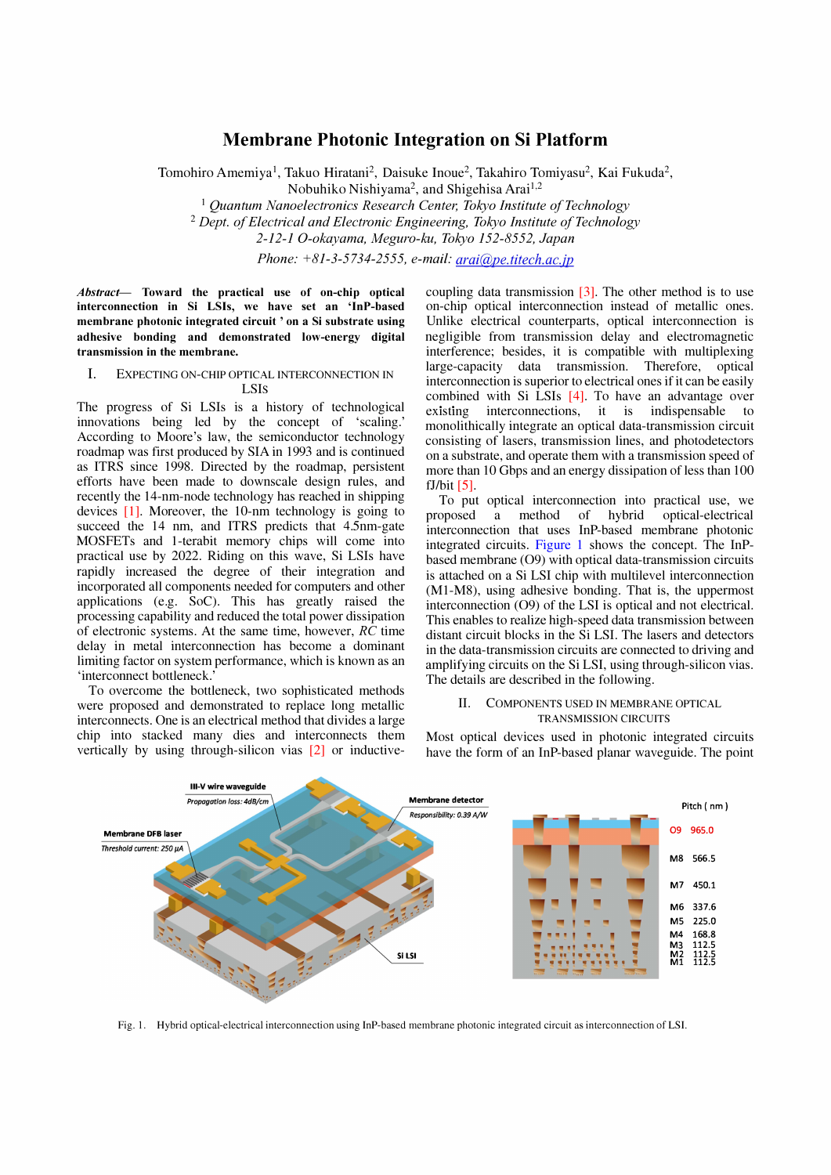# Membrane Photonic Integration on Si Platform

Tomohiro Amemiya<sup>1</sup>, Takuo Hiratani<sup>2</sup>, Daisuke Inoue<sup>2</sup>, Takahiro Tomiyasu<sup>2</sup>, Kai Fukuda<sup>2</sup>, Nobuhiko Nishiyama<sup>2</sup>, and Shigehisa Arai<sup>1,2</sup>

 $1$  Quantum Nanoelectronics Research Center, Tokyo Institute of Technology  $2$  Dept. of Electrical and Electronic Engineering, Tokyo Institute of Technology 2-12-1 O-okayama, Meguro-ku, Tokyo 152-8552, Japan

Phone:  $+81-3-5734-2555$ , e-mail: arai@pe.titech.ac.jp

Abstract- Toward the practical use of on-chip optical interconnection in Si LSIs, we have set an 'InP-hased membrane photonic integrated circuit ' on a Si substrate using adhesive bonding and demonstrated low-energy digital transmission in the membrane.

### 1. EXPECTING ON-CHIP OPTICAL INTERCONNECTION IN LSIs

The progress of Si LSIs is a history of technological innovations being led by the concept of 'scaling.' According to Moore's law, the semiconductor technology roadmap was first produced by SIA in 1993 and is continued as ITRS since 1998. Directed by the roadmap, persistent efforts have been made to downscale design rules, and recently the 14-nm-node technology has reached in shipping devices [I]. Moreover, the lO-nm technology is going to succeed the 14 nm, and ITRS predicts that 4.5nm-gate MOSFETs and I-terabit memory chips will come into practical use by 2022. Riding on this wave, Si LSIs have rapidly increased the degree of their integration and incorporated all components needed for computers and other applications (e.g. SoC). This has greatly raised the processing capability and reduced the total power dissipation of electronic systems. At the same time, however, RC time delay in metal interconnection has become a dominant limiting factor on system performance, which is known as an 'interconnect bottleneck.'

To overcome the bottleneck, two sophisticated methods were proposed and demonstrated to replace long metallic interconnects. One is an electrical method that divides a large chip into stacked many dies and interconnects them vertically by using through-silicon vias [2] or inductivecoupling data transmission  $[3]$ . The other method is to use on-chip optical interconnection instead of metallic ones. Unlike electrical counterparts, optical interconnection is negligible from transmission delay and electromagnetic interference; besides, it is compatible with multiplexing large-capacity data transmission. Therefore, optical interconnection is superior to electrical ones if it can be easily combined with Si LSIs [4]. To have an advantage over existing interconnections, it is indispensable to monolithically integrate an optical data-transmission circuit consisting of lasers, transmission lines, and photodetectors on a substrate, and operate them with a transmission speed of more than 10 Gbps and an energy dissipation of less than 100  $fJ/b$ it  $[5]$ .

To put optical interconnection into practical use, we proposed a method of hybrid optical-electrical interconnection that uses InP-based membrane photonic integrated circuits. Figure 1 shows the concept. The InPbased membrane (09) with optical data-transmission circuits is attached on a Si LSI chip with multilevel interconnection (MI-M8), using adhesive bonding. That is, the uppermost interconnection (09) of the LSI is optical and not electrical. This enables to realize high-speed data transmission between distant circuit blocks in the Si LSI. The lasers and detectors in the data-transmission circuits are connected to driving and amplifying circuits on the Si LSI, using through-silicon vias. The details are described in the following.

## II. COMPONENTS USED IN MEMBRANE OPTICAL TRANSMISSION CIRCUITS

Most optical devices used in photonic integrated circuits have the form of an InP-based planar waveguide. The point



Fig, I, Hybrid optical-electrical interconnection using InP-based membrane photonic integrated circuit as interconnection of LSI.